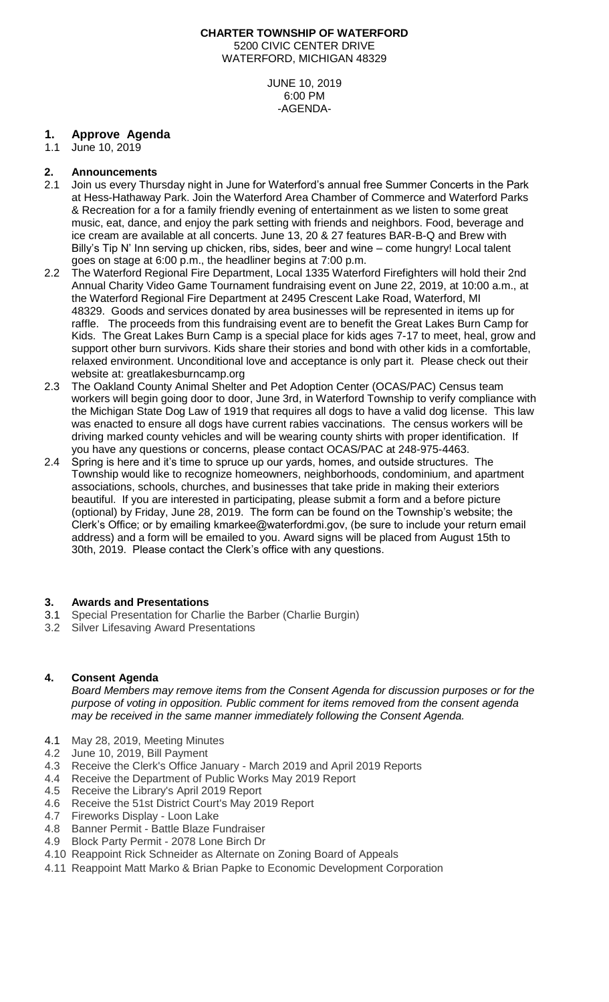#### **CHARTER TOWNSHIP OF WATERFORD** 5200 CIVIC CENTER DRIVE WATERFORD, MICHIGAN 48329

JUNE 10, 2019 6:00 PM -AGENDA-

# **1. Approve Agenda**

June 10, 2019

# **2. Announcements**

- 2.1 Join us every Thursday night in June for Waterford's annual free Summer Concerts in the Park at Hess-Hathaway Park. Join the Waterford Area Chamber of Commerce and Waterford Parks & Recreation for a for a family friendly evening of entertainment as we listen to some great music, eat, dance, and enjoy the park setting with friends and neighbors. Food, beverage and ice cream are available at all concerts. June 13, 20 & 27 features BAR-B-Q and Brew with Billy's Tip N' Inn serving up chicken, ribs, sides, beer and wine – come hungry! Local talent goes on stage at 6:00 p.m., the headliner begins at 7:00 p.m.
- 2.2 The Waterford Regional Fire Department, Local 1335 Waterford Firefighters will hold their 2nd Annual Charity Video Game Tournament fundraising event on June 22, 2019, at 10:00 a.m., at the Waterford Regional Fire Department at 2495 Crescent Lake Road, Waterford, MI 48329. Goods and services donated by area businesses will be represented in items up for raffle. The proceeds from this fundraising event are to benefit the Great Lakes Burn Camp for Kids. The Great Lakes Burn Camp is a special place for kids ages 7-17 to meet, heal, grow and support other burn survivors. Kids share their stories and bond with other kids in a comfortable, relaxed environment. Unconditional love and acceptance is only part it. Please check out their website at: [greatlakesburncamp.org](http://www.greatlakesburncamp.org/)
- 2.3 The Oakland County Animal Shelter and Pet Adoption Center (OCAS/PAC) Census team workers will begin going door to door, June 3rd, in Waterford Township to verify compliance with the Michigan State Dog Law of 1919 that requires all dogs to have a valid dog license. This law was enacted to ensure all dogs have current rabies vaccinations. The census workers will be driving marked county vehicles and will be wearing county shirts with proper identification. If you have any questions or concerns, please contact OCAS/PAC at 248-975-4463.
- 2.4 Spring is here and it's time to spruce up our yards, homes, and outside structures. The Township would like to recognize homeowners, neighborhoods, condominium, and apartment associations, schools, churches, and businesses that take pride in making their exteriors beautiful. If you are interested in participating, please submit a form and a before picture (optional) by Friday, June 28, 2019. The form can be found on the Township's website; the Clerk's Office; or by emailing kmarkee@waterfordmi.gov, (be sure to include your return email address) and a form will be emailed to you. Award signs will be placed from August 15th to 30th, 2019. Please contact the Clerk's office with any questions.

# **3. Awards and Presentations**

- 3.1 Special Presentation for Charlie the Barber (Charlie Burgin)
- 3.2 Silver Lifesaving Award Presentations

# **4. Consent Agenda**

*Board Members may remove items from the Consent Agenda for discussion purposes or for the purpose of voting in opposition. Public comment for items removed from the consent agenda may be received in the same manner immediately following the Consent Agenda.*

- 4.1 May 28, 2019, Meeting Minutes
- 4.2 June 10, 2019, Bill Payment
- 4.3 Receive the Clerk's Office January March 2019 and April 2019 Reports
- 4.4 Receive the Department of Public Works May 2019 Report
- 4.5 Receive the Library's April 2019 Report
- 4.6 Receive the 51st District Court's May 2019 Report
- 4.7 Fireworks Display Loon Lake
- 4.8 Banner Permit Battle Blaze Fundraiser
- 4.9 Block Party Permit 2078 Lone Birch Dr
- 4.10 Reappoint Rick Schneider as Alternate on Zoning Board of Appeals
- 4.11 Reappoint Matt Marko & Brian Papke to Economic Development Corporation